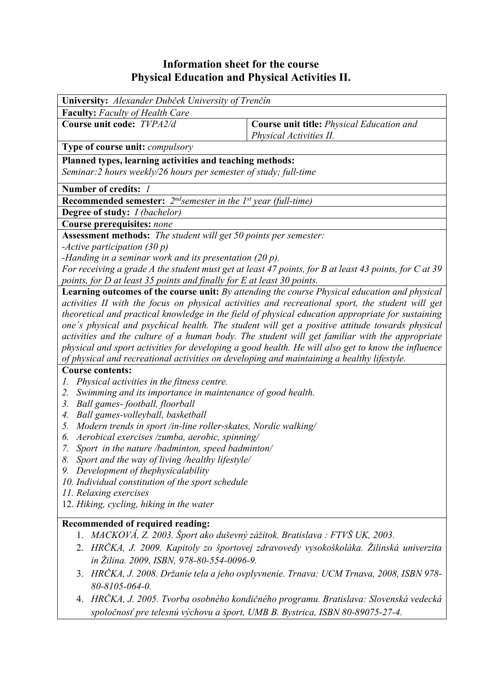## **Information sheet for the course Physical Education and Physical Activities II.**

| University: Alexander Dubček University of Trenčín                                                                                                                                                                                                                                                                                                                                                                                                                                                                                                                                                                                                                                                                                               |                                                                                                                                                                    |  |  |  |  |  |
|--------------------------------------------------------------------------------------------------------------------------------------------------------------------------------------------------------------------------------------------------------------------------------------------------------------------------------------------------------------------------------------------------------------------------------------------------------------------------------------------------------------------------------------------------------------------------------------------------------------------------------------------------------------------------------------------------------------------------------------------------|--------------------------------------------------------------------------------------------------------------------------------------------------------------------|--|--|--|--|--|
| <b>Faculty:</b> Faculty of Health Care                                                                                                                                                                                                                                                                                                                                                                                                                                                                                                                                                                                                                                                                                                           |                                                                                                                                                                    |  |  |  |  |  |
| Course unit code: TVPA2/d                                                                                                                                                                                                                                                                                                                                                                                                                                                                                                                                                                                                                                                                                                                        | Course unit title: Physical Education and<br>Physical Activities II.                                                                                               |  |  |  |  |  |
| Type of course unit: <i>compulsory</i>                                                                                                                                                                                                                                                                                                                                                                                                                                                                                                                                                                                                                                                                                                           |                                                                                                                                                                    |  |  |  |  |  |
| Planned types, learning activities and teaching methods:<br>Seminar: 2 hours weekly/26 hours per semester of study; full-time                                                                                                                                                                                                                                                                                                                                                                                                                                                                                                                                                                                                                    |                                                                                                                                                                    |  |  |  |  |  |
| Number of credits: 1                                                                                                                                                                                                                                                                                                                                                                                                                                                                                                                                                                                                                                                                                                                             |                                                                                                                                                                    |  |  |  |  |  |
| <b>Recommended semester:</b> $2^{nd}$ semester in the 1 <sup>st</sup> year (full-time)                                                                                                                                                                                                                                                                                                                                                                                                                                                                                                                                                                                                                                                           |                                                                                                                                                                    |  |  |  |  |  |
| <b>Degree of study:</b> <i>I (bachelor)</i>                                                                                                                                                                                                                                                                                                                                                                                                                                                                                                                                                                                                                                                                                                      |                                                                                                                                                                    |  |  |  |  |  |
| Course prerequisites: none                                                                                                                                                                                                                                                                                                                                                                                                                                                                                                                                                                                                                                                                                                                       |                                                                                                                                                                    |  |  |  |  |  |
| Assessment methods: The student will get 50 points per semester:                                                                                                                                                                                                                                                                                                                                                                                                                                                                                                                                                                                                                                                                                 |                                                                                                                                                                    |  |  |  |  |  |
| -Active participation $(30 p)$                                                                                                                                                                                                                                                                                                                                                                                                                                                                                                                                                                                                                                                                                                                   |                                                                                                                                                                    |  |  |  |  |  |
| -Handing in a seminar work and its presentation $(20 p)$ .<br>For receiving a grade A the student must get at least 47 points, for B at least 43 points, for C at 39                                                                                                                                                                                                                                                                                                                                                                                                                                                                                                                                                                             |                                                                                                                                                                    |  |  |  |  |  |
|                                                                                                                                                                                                                                                                                                                                                                                                                                                                                                                                                                                                                                                                                                                                                  |                                                                                                                                                                    |  |  |  |  |  |
| points, for D at least 35 points and finally for E at least 30 points.                                                                                                                                                                                                                                                                                                                                                                                                                                                                                                                                                                                                                                                                           |                                                                                                                                                                    |  |  |  |  |  |
| <b>Learning outcomes of the course unit:</b> By attending the course Physical education and physical<br>activities II with the focus on physical activities and recreational sport, the student will get<br>theoretical and practical knowledge in the field of physical education appropriate for sustaining<br>one's physical and psychical health. The student will get a positive attitude towards physical<br>activities and the culture of a human body. The student will get familiar with the appropriate<br>physical and sport activities for developing a good health. He will also get to know the influence<br>of physical and recreational activities on developing and maintaining a healthy lifestyle.<br><b>Course contents:</b> |                                                                                                                                                                    |  |  |  |  |  |
| Physical activities in the fitness centre.<br>Ι.                                                                                                                                                                                                                                                                                                                                                                                                                                                                                                                                                                                                                                                                                                 |                                                                                                                                                                    |  |  |  |  |  |
| Swimming and its importance in maintenance of good health.<br>2.                                                                                                                                                                                                                                                                                                                                                                                                                                                                                                                                                                                                                                                                                 |                                                                                                                                                                    |  |  |  |  |  |
| Ball games-football, floorball<br>3.                                                                                                                                                                                                                                                                                                                                                                                                                                                                                                                                                                                                                                                                                                             |                                                                                                                                                                    |  |  |  |  |  |
| Ball games-volleyball, basketball<br>4.<br>5.                                                                                                                                                                                                                                                                                                                                                                                                                                                                                                                                                                                                                                                                                                    |                                                                                                                                                                    |  |  |  |  |  |
| Modern trends in sport /in-line roller-skates, Nordic walking/<br>Aerobical exercises /zumba, aerobic, spinning/<br>6.                                                                                                                                                                                                                                                                                                                                                                                                                                                                                                                                                                                                                           |                                                                                                                                                                    |  |  |  |  |  |
|                                                                                                                                                                                                                                                                                                                                                                                                                                                                                                                                                                                                                                                                                                                                                  |                                                                                                                                                                    |  |  |  |  |  |
| 7. Sport in the nature /badminton, speed badminton/<br>8.<br>Sport and the way of living /healthy lifestyle/                                                                                                                                                                                                                                                                                                                                                                                                                                                                                                                                                                                                                                     |                                                                                                                                                                    |  |  |  |  |  |
| Development of thephysicalability<br>9.                                                                                                                                                                                                                                                                                                                                                                                                                                                                                                                                                                                                                                                                                                          |                                                                                                                                                                    |  |  |  |  |  |
| 10. Individual constitution of the sport schedule                                                                                                                                                                                                                                                                                                                                                                                                                                                                                                                                                                                                                                                                                                |                                                                                                                                                                    |  |  |  |  |  |
| 11. Relaxing exercises                                                                                                                                                                                                                                                                                                                                                                                                                                                                                                                                                                                                                                                                                                                           |                                                                                                                                                                    |  |  |  |  |  |
| 12. Hiking, cycling, hiking in the water                                                                                                                                                                                                                                                                                                                                                                                                                                                                                                                                                                                                                                                                                                         |                                                                                                                                                                    |  |  |  |  |  |
| Recommended of required reading:                                                                                                                                                                                                                                                                                                                                                                                                                                                                                                                                                                                                                                                                                                                 |                                                                                                                                                                    |  |  |  |  |  |
| 1.                                                                                                                                                                                                                                                                                                                                                                                                                                                                                                                                                                                                                                                                                                                                               | MACKOVÁ, Z. 2003. Šport ako duševný zážitok. Bratislava : FTVŠ UK, 2003.                                                                                           |  |  |  |  |  |
| in Žilina. 2009, ISBN, 978-80-554-0096-9.                                                                                                                                                                                                                                                                                                                                                                                                                                                                                                                                                                                                                                                                                                        | 2. HRČKA, J. 2009. Kapitoly zo športovej zdravovedy vysokoškoláka. Žilinská univerzita                                                                             |  |  |  |  |  |
| 80-8105-064-0.                                                                                                                                                                                                                                                                                                                                                                                                                                                                                                                                                                                                                                                                                                                                   | 3. HRČKA, J. 2008. Držanie tela a jeho ovplyvnenie. Trnava: UCM Trnava, 2008, ISBN 978-                                                                            |  |  |  |  |  |
| 4.                                                                                                                                                                                                                                                                                                                                                                                                                                                                                                                                                                                                                                                                                                                                               | HRČKA, J. 2005. Tvorba osobného kondičného programu. Bratislava: Slovenská vedecká<br>spoločnosť pre telesnú výchovu a šport, UMB B. Bystrica, ISBN 80-89075-27-4. |  |  |  |  |  |